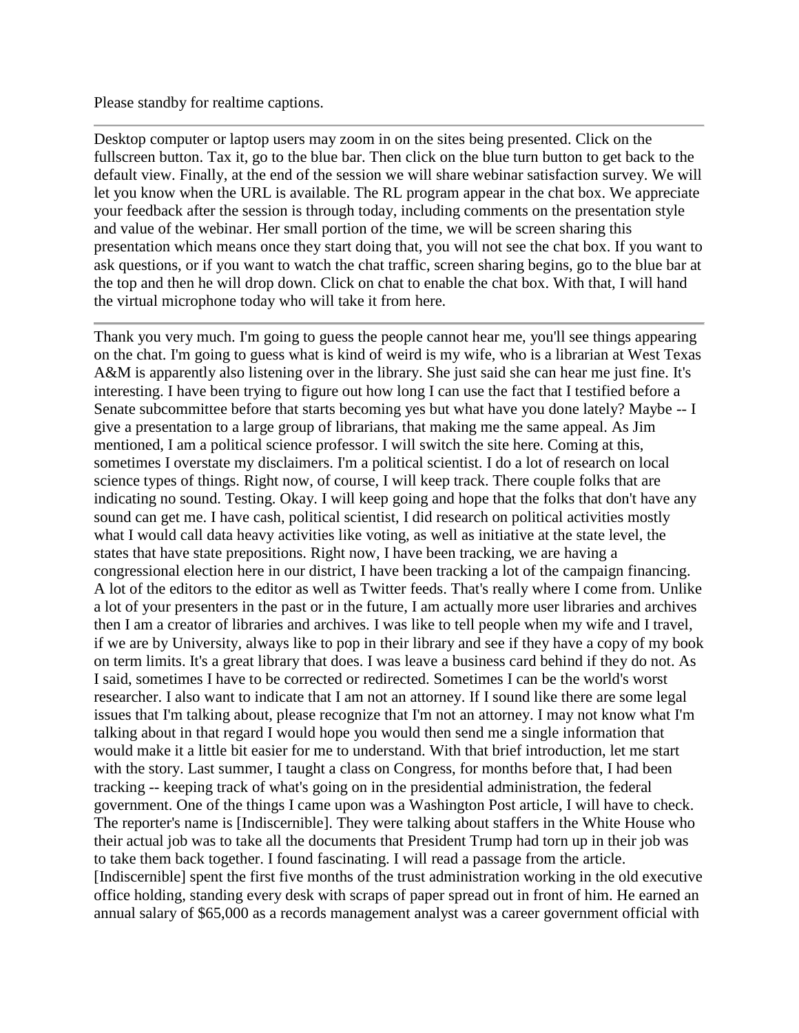Please standby for realtime captions.

Desktop computer or laptop users may zoom in on the sites being presented. Click on the fullscreen button. Tax it, go to the blue bar. Then click on the blue turn button to get back to the default view. Finally, at the end of the session we will share webinar satisfaction survey. We will let you know when the URL is available. The RL program appear in the chat box. We appreciate your feedback after the session is through today, including comments on the presentation style and value of the webinar. Her small portion of the time, we will be screen sharing this presentation which means once they start doing that, you will not see the chat box. If you want to ask questions, or if you want to watch the chat traffic, screen sharing begins, go to the blue bar at the top and then he will drop down. Click on chat to enable the chat box. With that, I will hand the virtual microphone today who will take it from here.

Thank you very much. I'm going to guess the people cannot hear me, you'll see things appearing on the chat. I'm going to guess what is kind of weird is my wife, who is a librarian at West Texas A&M is apparently also listening over in the library. She just said she can hear me just fine. It's interesting. I have been trying to figure out how long I can use the fact that I testified before a Senate subcommittee before that starts becoming yes but what have you done lately? Maybe -- I give a presentation to a large group of librarians, that making me the same appeal. As Jim mentioned, I am a political science professor. I will switch the site here. Coming at this, sometimes I overstate my disclaimers. I'm a political scientist. I do a lot of research on local science types of things. Right now, of course, I will keep track. There couple folks that are indicating no sound. Testing. Okay. I will keep going and hope that the folks that don't have any sound can get me. I have cash, political scientist, I did research on political activities mostly what I would call data heavy activities like voting, as well as initiative at the state level, the states that have state prepositions. Right now, I have been tracking, we are having a congressional election here in our district, I have been tracking a lot of the campaign financing. A lot of the editors to the editor as well as Twitter feeds. That's really where I come from. Unlike a lot of your presenters in the past or in the future, I am actually more user libraries and archives then I am a creator of libraries and archives. I was like to tell people when my wife and I travel, if we are by University, always like to pop in their library and see if they have a copy of my book on term limits. It's a great library that does. I was leave a business card behind if they do not. As I said, sometimes I have to be corrected or redirected. Sometimes I can be the world's worst researcher. I also want to indicate that I am not an attorney. If I sound like there are some legal issues that I'm talking about, please recognize that I'm not an attorney. I may not know what I'm talking about in that regard I would hope you would then send me a single information that would make it a little bit easier for me to understand. With that brief introduction, let me start with the story. Last summer, I taught a class on Congress, for months before that, I had been tracking -- keeping track of what's going on in the presidential administration, the federal government. One of the things I came upon was a Washington Post article, I will have to check. The reporter's name is [Indiscernible]. They were talking about staffers in the White House who their actual job was to take all the documents that President Trump had torn up in their job was to take them back together. I found fascinating. I will read a passage from the article. [Indiscernible] spent the first five months of the trust administration working in the old executive office holding, standing every desk with scraps of paper spread out in front of him. He earned an annual salary of \$65,000 as a records management analyst was a career government official with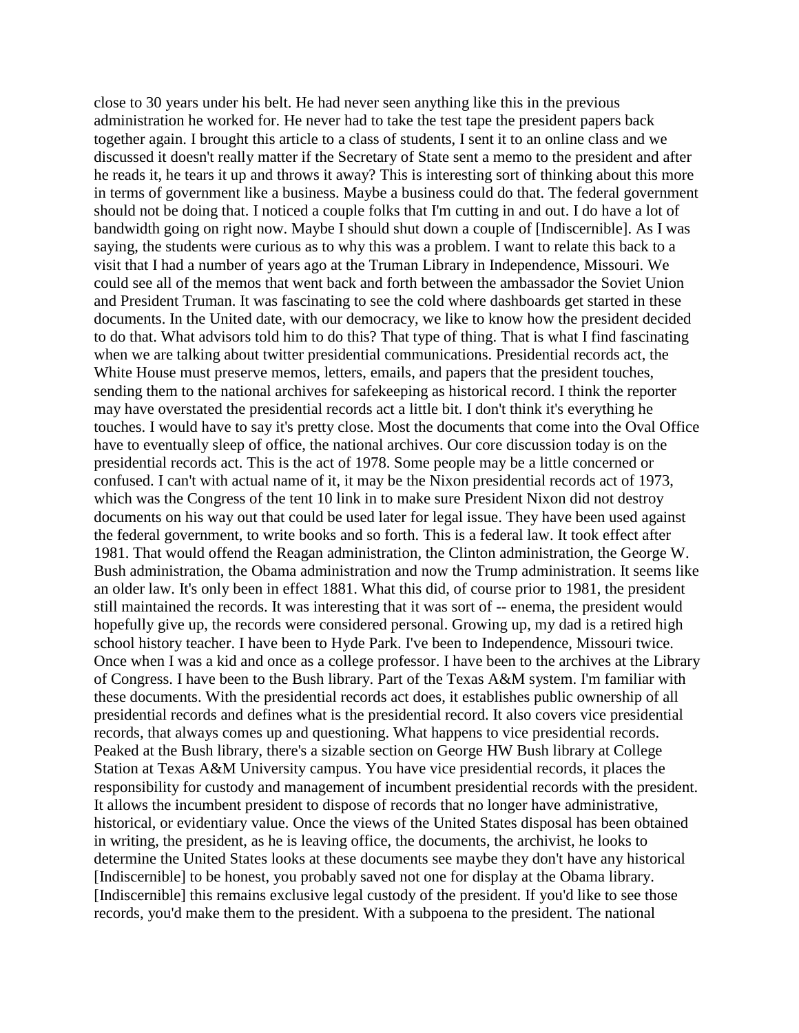close to 30 years under his belt. He had never seen anything like this in the previous administration he worked for. He never had to take the test tape the president papers back together again. I brought this article to a class of students, I sent it to an online class and we discussed it doesn't really matter if the Secretary of State sent a memo to the president and after he reads it, he tears it up and throws it away? This is interesting sort of thinking about this more in terms of government like a business. Maybe a business could do that. The federal government should not be doing that. I noticed a couple folks that I'm cutting in and out. I do have a lot of bandwidth going on right now. Maybe I should shut down a couple of [Indiscernible]. As I was saying, the students were curious as to why this was a problem. I want to relate this back to a visit that I had a number of years ago at the Truman Library in Independence, Missouri. We could see all of the memos that went back and forth between the ambassador the Soviet Union and President Truman. It was fascinating to see the cold where dashboards get started in these documents. In the United date, with our democracy, we like to know how the president decided to do that. What advisors told him to do this? That type of thing. That is what I find fascinating when we are talking about twitter presidential communications. Presidential records act, the White House must preserve memos, letters, emails, and papers that the president touches, sending them to the national archives for safekeeping as historical record. I think the reporter may have overstated the presidential records act a little bit. I don't think it's everything he touches. I would have to say it's pretty close. Most the documents that come into the Oval Office have to eventually sleep of office, the national archives. Our core discussion today is on the presidential records act. This is the act of 1978. Some people may be a little concerned or confused. I can't with actual name of it, it may be the Nixon presidential records act of 1973, which was the Congress of the tent 10 link in to make sure President Nixon did not destroy documents on his way out that could be used later for legal issue. They have been used against the federal government, to write books and so forth. This is a federal law. It took effect after 1981. That would offend the Reagan administration, the Clinton administration, the George W. Bush administration, the Obama administration and now the Trump administration. It seems like an older law. It's only been in effect 1881. What this did, of course prior to 1981, the president still maintained the records. It was interesting that it was sort of -- enema, the president would hopefully give up, the records were considered personal. Growing up, my dad is a retired high school history teacher. I have been to Hyde Park. I've been to Independence, Missouri twice. Once when I was a kid and once as a college professor. I have been to the archives at the Library of Congress. I have been to the Bush library. Part of the Texas A&M system. I'm familiar with these documents. With the presidential records act does, it establishes public ownership of all presidential records and defines what is the presidential record. It also covers vice presidential records, that always comes up and questioning. What happens to vice presidential records. Peaked at the Bush library, there's a sizable section on George HW Bush library at College Station at Texas A&M University campus. You have vice presidential records, it places the responsibility for custody and management of incumbent presidential records with the president. It allows the incumbent president to dispose of records that no longer have administrative, historical, or evidentiary value. Once the views of the United States disposal has been obtained in writing, the president, as he is leaving office, the documents, the archivist, he looks to determine the United States looks at these documents see maybe they don't have any historical [Indiscernible] to be honest, you probably saved not one for display at the Obama library. [Indiscernible] this remains exclusive legal custody of the president. If you'd like to see those records, you'd make them to the president. With a subpoena to the president. The national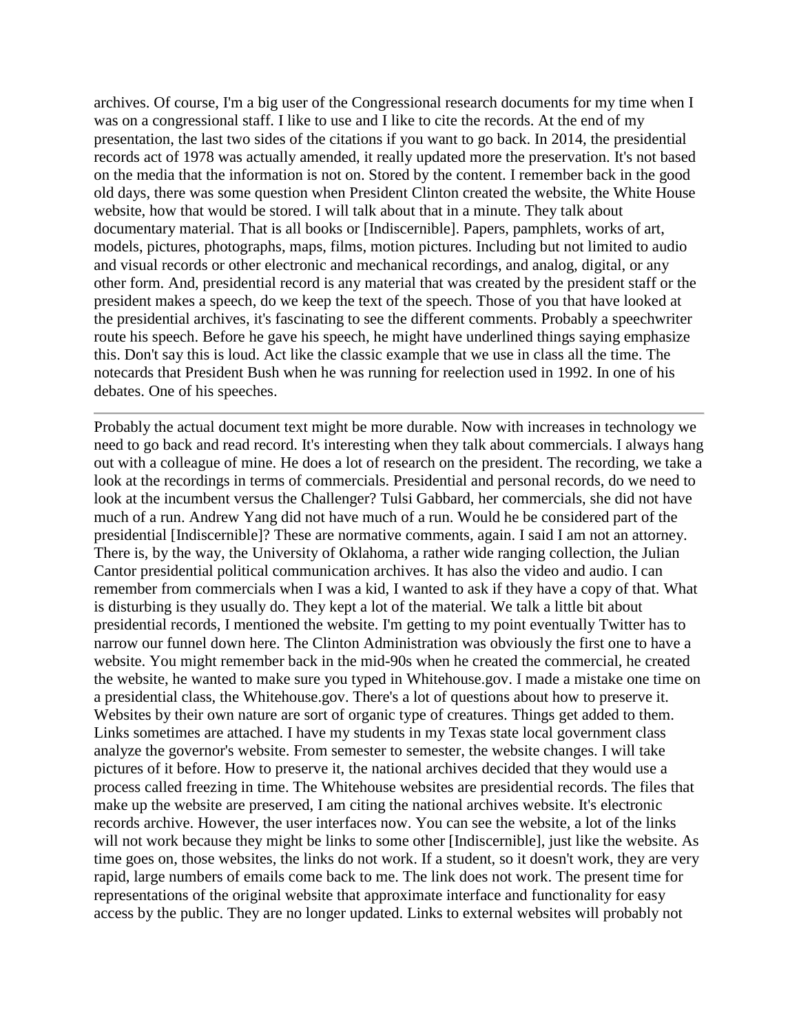archives. Of course, I'm a big user of the Congressional research documents for my time when I was on a congressional staff. I like to use and I like to cite the records. At the end of my presentation, the last two sides of the citations if you want to go back. In 2014, the presidential records act of 1978 was actually amended, it really updated more the preservation. It's not based on the media that the information is not on. Stored by the content. I remember back in the good old days, there was some question when President Clinton created the website, the White House website, how that would be stored. I will talk about that in a minute. They talk about documentary material. That is all books or [Indiscernible]. Papers, pamphlets, works of art, models, pictures, photographs, maps, films, motion pictures. Including but not limited to audio and visual records or other electronic and mechanical recordings, and analog, digital, or any other form. And, presidential record is any material that was created by the president staff or the president makes a speech, do we keep the text of the speech. Those of you that have looked at the presidential archives, it's fascinating to see the different comments. Probably a speechwriter route his speech. Before he gave his speech, he might have underlined things saying emphasize this. Don't say this is loud. Act like the classic example that we use in class all the time. The notecards that President Bush when he was running for reelection used in 1992. In one of his debates. One of his speeches.

Probably the actual document text might be more durable. Now with increases in technology we need to go back and read record. It's interesting when they talk about commercials. I always hang out with a colleague of mine. He does a lot of research on the president. The recording, we take a look at the recordings in terms of commercials. Presidential and personal records, do we need to look at the incumbent versus the Challenger? Tulsi Gabbard, her commercials, she did not have much of a run. Andrew Yang did not have much of a run. Would he be considered part of the presidential [Indiscernible]? These are normative comments, again. I said I am not an attorney. There is, by the way, the University of Oklahoma, a rather wide ranging collection, the Julian Cantor presidential political communication archives. It has also the video and audio. I can remember from commercials when I was a kid, I wanted to ask if they have a copy of that. What is disturbing is they usually do. They kept a lot of the material. We talk a little bit about presidential records, I mentioned the website. I'm getting to my point eventually Twitter has to narrow our funnel down here. The Clinton Administration was obviously the first one to have a website. You might remember back in the mid-90s when he created the commercial, he created the website, he wanted to make sure you typed in Whitehouse.gov. I made a mistake one time on a presidential class, the Whitehouse.gov. There's a lot of questions about how to preserve it. Websites by their own nature are sort of organic type of creatures. Things get added to them. Links sometimes are attached. I have my students in my Texas state local government class analyze the governor's website. From semester to semester, the website changes. I will take pictures of it before. How to preserve it, the national archives decided that they would use a process called freezing in time. The Whitehouse websites are presidential records. The files that make up the website are preserved, I am citing the national archives website. It's electronic records archive. However, the user interfaces now. You can see the website, a lot of the links will not work because they might be links to some other [Indiscernible], just like the website. As time goes on, those websites, the links do not work. If a student, so it doesn't work, they are very rapid, large numbers of emails come back to me. The link does not work. The present time for representations of the original website that approximate interface and functionality for easy access by the public. They are no longer updated. Links to external websites will probably not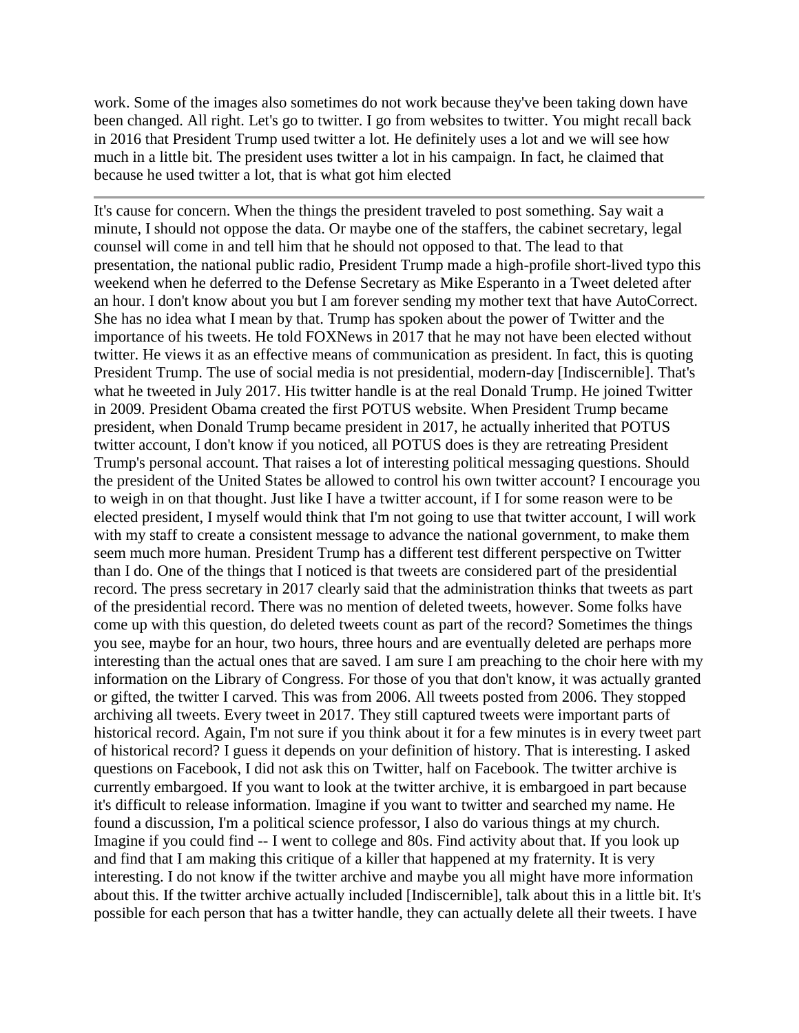work. Some of the images also sometimes do not work because they've been taking down have been changed. All right. Let's go to twitter. I go from websites to twitter. You might recall back in 2016 that President Trump used twitter a lot. He definitely uses a lot and we will see how much in a little bit. The president uses twitter a lot in his campaign. In fact, he claimed that because he used twitter a lot, that is what got him elected

It's cause for concern. When the things the president traveled to post something. Say wait a minute, I should not oppose the data. Or maybe one of the staffers, the cabinet secretary, legal counsel will come in and tell him that he should not opposed to that. The lead to that presentation, the national public radio, President Trump made a high-profile short-lived typo this weekend when he deferred to the Defense Secretary as Mike Esperanto in a Tweet deleted after an hour. I don't know about you but I am forever sending my mother text that have AutoCorrect. She has no idea what I mean by that. Trump has spoken about the power of Twitter and the importance of his tweets. He told FOXNews in 2017 that he may not have been elected without twitter. He views it as an effective means of communication as president. In fact, this is quoting President Trump. The use of social media is not presidential, modern-day [Indiscernible]. That's what he tweeted in July 2017. His twitter handle is at the real Donald Trump. He joined Twitter in 2009. President Obama created the first POTUS website. When President Trump became president, when Donald Trump became president in 2017, he actually inherited that POTUS twitter account, I don't know if you noticed, all POTUS does is they are retreating President Trump's personal account. That raises a lot of interesting political messaging questions. Should the president of the United States be allowed to control his own twitter account? I encourage you to weigh in on that thought. Just like I have a twitter account, if I for some reason were to be elected president, I myself would think that I'm not going to use that twitter account, I will work with my staff to create a consistent message to advance the national government, to make them seem much more human. President Trump has a different test different perspective on Twitter than I do. One of the things that I noticed is that tweets are considered part of the presidential record. The press secretary in 2017 clearly said that the administration thinks that tweets as part of the presidential record. There was no mention of deleted tweets, however. Some folks have come up with this question, do deleted tweets count as part of the record? Sometimes the things you see, maybe for an hour, two hours, three hours and are eventually deleted are perhaps more interesting than the actual ones that are saved. I am sure I am preaching to the choir here with my information on the Library of Congress. For those of you that don't know, it was actually granted or gifted, the twitter I carved. This was from 2006. All tweets posted from 2006. They stopped archiving all tweets. Every tweet in 2017. They still captured tweets were important parts of historical record. Again, I'm not sure if you think about it for a few minutes is in every tweet part of historical record? I guess it depends on your definition of history. That is interesting. I asked questions on Facebook, I did not ask this on Twitter, half on Facebook. The twitter archive is currently embargoed. If you want to look at the twitter archive, it is embargoed in part because it's difficult to release information. Imagine if you want to twitter and searched my name. He found a discussion, I'm a political science professor, I also do various things at my church. Imagine if you could find -- I went to college and 80s. Find activity about that. If you look up and find that I am making this critique of a killer that happened at my fraternity. It is very interesting. I do not know if the twitter archive and maybe you all might have more information about this. If the twitter archive actually included [Indiscernible], talk about this in a little bit. It's possible for each person that has a twitter handle, they can actually delete all their tweets. I have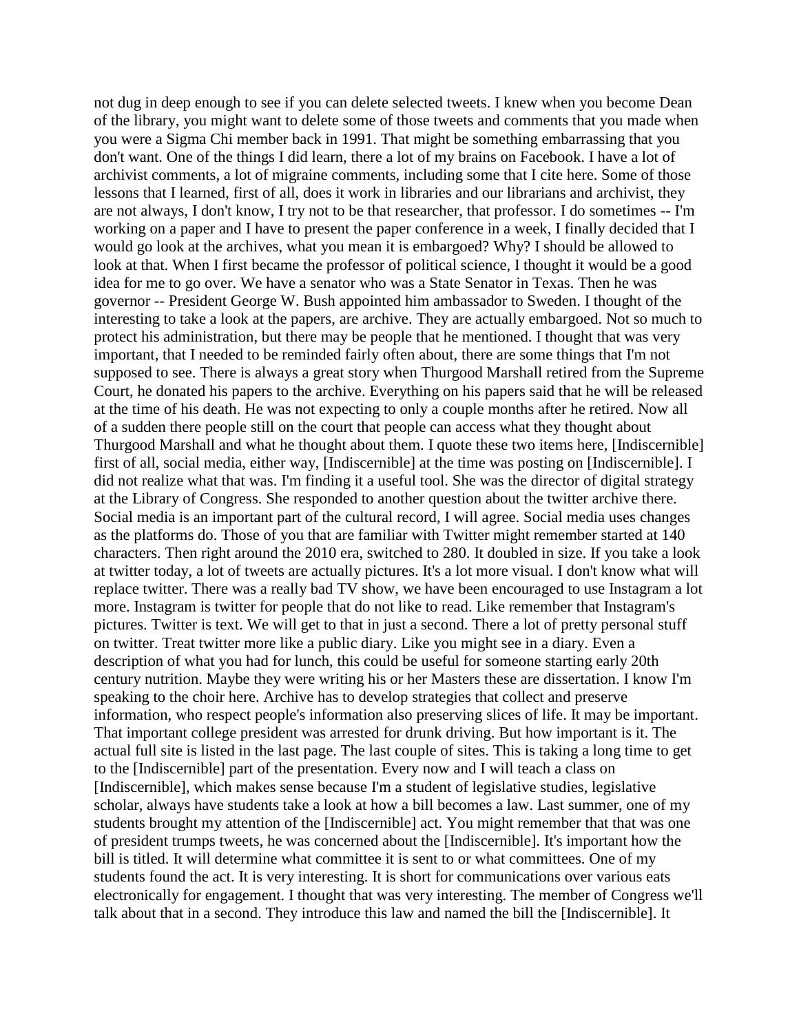not dug in deep enough to see if you can delete selected tweets. I knew when you become Dean of the library, you might want to delete some of those tweets and comments that you made when you were a Sigma Chi member back in 1991. That might be something embarrassing that you don't want. One of the things I did learn, there a lot of my brains on Facebook. I have a lot of archivist comments, a lot of migraine comments, including some that I cite here. Some of those lessons that I learned, first of all, does it work in libraries and our librarians and archivist, they are not always, I don't know, I try not to be that researcher, that professor. I do sometimes -- I'm working on a paper and I have to present the paper conference in a week, I finally decided that I would go look at the archives, what you mean it is embargoed? Why? I should be allowed to look at that. When I first became the professor of political science, I thought it would be a good idea for me to go over. We have a senator who was a State Senator in Texas. Then he was governor -- President George W. Bush appointed him ambassador to Sweden. I thought of the interesting to take a look at the papers, are archive. They are actually embargoed. Not so much to protect his administration, but there may be people that he mentioned. I thought that was very important, that I needed to be reminded fairly often about, there are some things that I'm not supposed to see. There is always a great story when Thurgood Marshall retired from the Supreme Court, he donated his papers to the archive. Everything on his papers said that he will be released at the time of his death. He was not expecting to only a couple months after he retired. Now all of a sudden there people still on the court that people can access what they thought about Thurgood Marshall and what he thought about them. I quote these two items here, [Indiscernible] first of all, social media, either way, [Indiscernible] at the time was posting on [Indiscernible]. I did not realize what that was. I'm finding it a useful tool. She was the director of digital strategy at the Library of Congress. She responded to another question about the twitter archive there. Social media is an important part of the cultural record, I will agree. Social media uses changes as the platforms do. Those of you that are familiar with Twitter might remember started at 140 characters. Then right around the 2010 era, switched to 280. It doubled in size. If you take a look at twitter today, a lot of tweets are actually pictures. It's a lot more visual. I don't know what will replace twitter. There was a really bad TV show, we have been encouraged to use Instagram a lot more. Instagram is twitter for people that do not like to read. Like remember that Instagram's pictures. Twitter is text. We will get to that in just a second. There a lot of pretty personal stuff on twitter. Treat twitter more like a public diary. Like you might see in a diary. Even a description of what you had for lunch, this could be useful for someone starting early 20th century nutrition. Maybe they were writing his or her Masters these are dissertation. I know I'm speaking to the choir here. Archive has to develop strategies that collect and preserve information, who respect people's information also preserving slices of life. It may be important. That important college president was arrested for drunk driving. But how important is it. The actual full site is listed in the last page. The last couple of sites. This is taking a long time to get to the [Indiscernible] part of the presentation. Every now and I will teach a class on [Indiscernible], which makes sense because I'm a student of legislative studies, legislative scholar, always have students take a look at how a bill becomes a law. Last summer, one of my students brought my attention of the [Indiscernible] act. You might remember that that was one of president trumps tweets, he was concerned about the [Indiscernible]. It's important how the bill is titled. It will determine what committee it is sent to or what committees. One of my students found the act. It is very interesting. It is short for communications over various eats electronically for engagement. I thought that was very interesting. The member of Congress we'll talk about that in a second. They introduce this law and named the bill the [Indiscernible]. It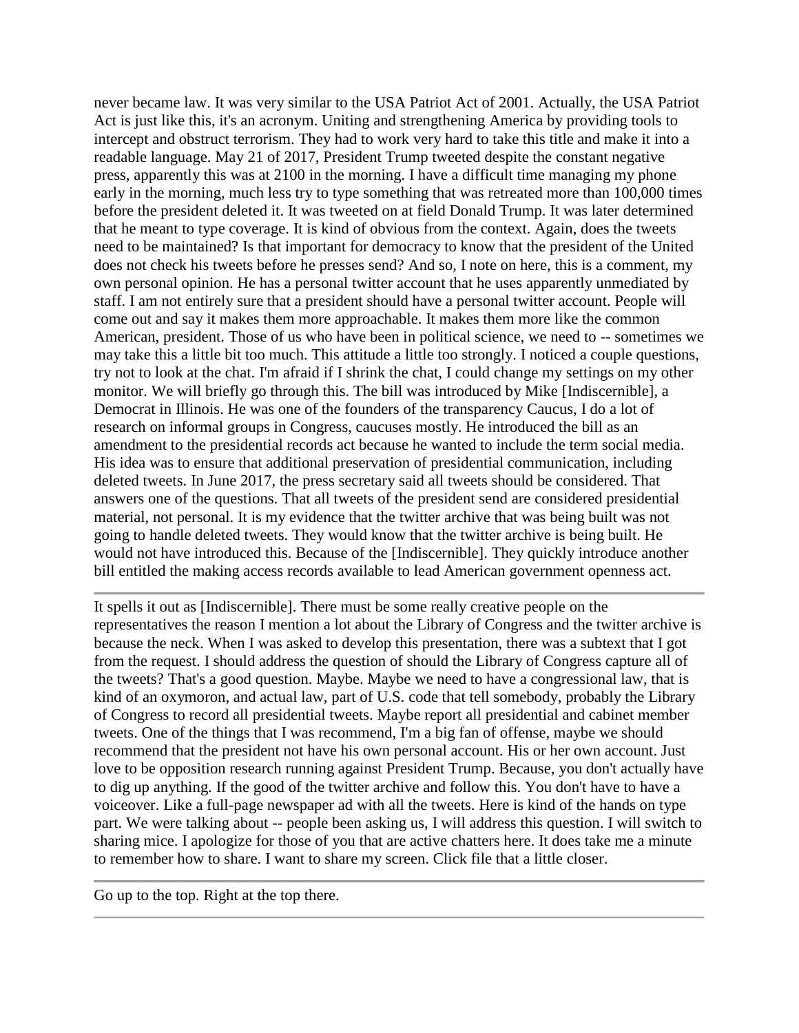never became law. It was very similar to the USA Patriot Act of 2001. Actually, the USA Patriot Act is just like this, it's an acronym. Uniting and strengthening America by providing tools to intercept and obstruct terrorism. They had to work very hard to take this title and make it into a readable language. May 21 of 2017, President Trump tweeted despite the constant negative press, apparently this was at 2100 in the morning. I have a difficult time managing my phone early in the morning, much less try to type something that was retreated more than 100,000 times before the president deleted it. It was tweeted on at field Donald Trump. It was later determined that he meant to type coverage. It is kind of obvious from the context. Again, does the tweets need to be maintained? Is that important for democracy to know that the president of the United does not check his tweets before he presses send? And so, I note on here, this is a comment, my own personal opinion. He has a personal twitter account that he uses apparently unmediated by staff. I am not entirely sure that a president should have a personal twitter account. People will come out and say it makes them more approachable. It makes them more like the common American, president. Those of us who have been in political science, we need to -- sometimes we may take this a little bit too much. This attitude a little too strongly. I noticed a couple questions, try not to look at the chat. I'm afraid if I shrink the chat, I could change my settings on my other monitor. We will briefly go through this. The bill was introduced by Mike [Indiscernible], a Democrat in Illinois. He was one of the founders of the transparency Caucus, I do a lot of research on informal groups in Congress, caucuses mostly. He introduced the bill as an amendment to the presidential records act because he wanted to include the term social media. His idea was to ensure that additional preservation of presidential communication, including deleted tweets. In June 2017, the press secretary said all tweets should be considered. That answers one of the questions. That all tweets of the president send are considered presidential material, not personal. It is my evidence that the twitter archive that was being built was not going to handle deleted tweets. They would know that the twitter archive is being built. He would not have introduced this. Because of the [Indiscernible]. They quickly introduce another bill entitled the making access records available to lead American government openness act.

It spells it out as [Indiscernible]. There must be some really creative people on the representatives the reason I mention a lot about the Library of Congress and the twitter archive is because the neck. When I was asked to develop this presentation, there was a subtext that I got from the request. I should address the question of should the Library of Congress capture all of the tweets? That's a good question. Maybe. Maybe we need to have a congressional law, that is kind of an oxymoron, and actual law, part of U.S. code that tell somebody, probably the Library of Congress to record all presidential tweets. Maybe report all presidential and cabinet member tweets. One of the things that I was recommend, I'm a big fan of offense, maybe we should recommend that the president not have his own personal account. His or her own account. Just love to be opposition research running against President Trump. Because, you don't actually have to dig up anything. If the good of the twitter archive and follow this. You don't have to have a voiceover. Like a full-page newspaper ad with all the tweets. Here is kind of the hands on type part. We were talking about -- people been asking us, I will address this question. I will switch to sharing mice. I apologize for those of you that are active chatters here. It does take me a minute to remember how to share. I want to share my screen. Click file that a little closer.

Go up to the top. Right at the top there.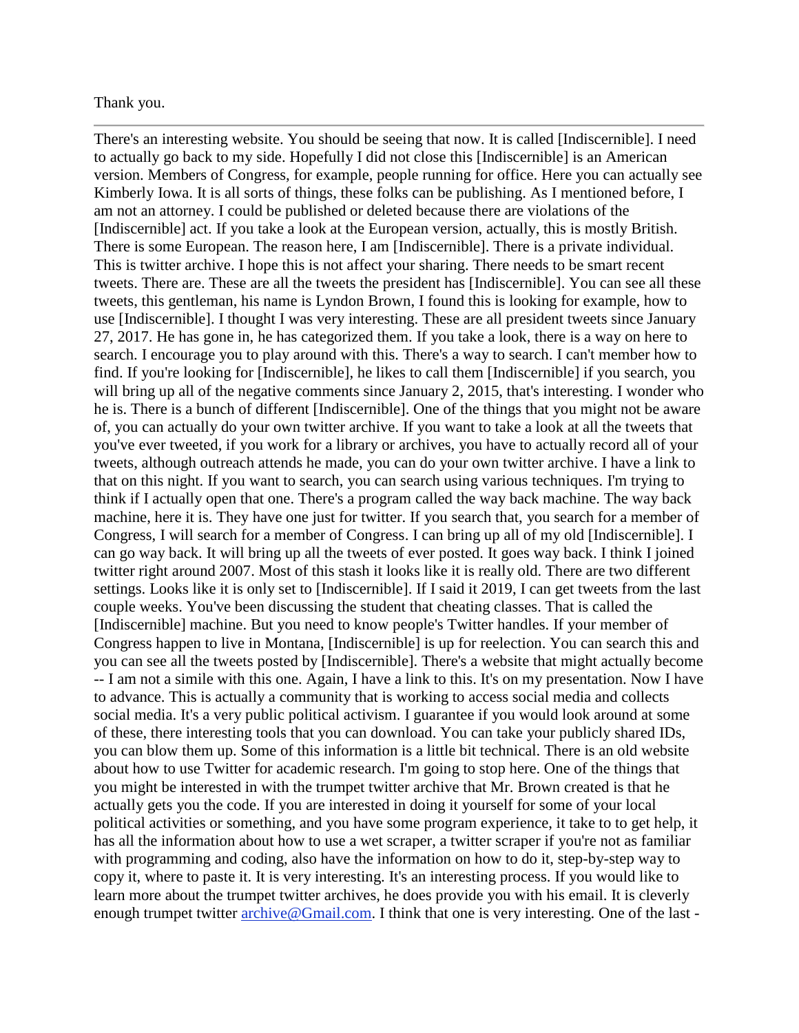## Thank you.

There's an interesting website. You should be seeing that now. It is called [Indiscernible]. I need to actually go back to my side. Hopefully I did not close this [Indiscernible] is an American version. Members of Congress, for example, people running for office. Here you can actually see Kimberly Iowa. It is all sorts of things, these folks can be publishing. As I mentioned before, I am not an attorney. I could be published or deleted because there are violations of the [Indiscernible] act. If you take a look at the European version, actually, this is mostly British. There is some European. The reason here, I am [Indiscernible]. There is a private individual. This is twitter archive. I hope this is not affect your sharing. There needs to be smart recent tweets. There are. These are all the tweets the president has [Indiscernible]. You can see all these tweets, this gentleman, his name is Lyndon Brown, I found this is looking for example, how to use [Indiscernible]. I thought I was very interesting. These are all president tweets since January 27, 2017. He has gone in, he has categorized them. If you take a look, there is a way on here to search. I encourage you to play around with this. There's a way to search. I can't member how to find. If you're looking for [Indiscernible], he likes to call them [Indiscernible] if you search, you will bring up all of the negative comments since January 2, 2015, that's interesting. I wonder who he is. There is a bunch of different [Indiscernible]. One of the things that you might not be aware of, you can actually do your own twitter archive. If you want to take a look at all the tweets that you've ever tweeted, if you work for a library or archives, you have to actually record all of your tweets, although outreach attends he made, you can do your own twitter archive. I have a link to that on this night. If you want to search, you can search using various techniques. I'm trying to think if I actually open that one. There's a program called the way back machine. The way back machine, here it is. They have one just for twitter. If you search that, you search for a member of Congress, I will search for a member of Congress. I can bring up all of my old [Indiscernible]. I can go way back. It will bring up all the tweets of ever posted. It goes way back. I think I joined twitter right around 2007. Most of this stash it looks like it is really old. There are two different settings. Looks like it is only set to [Indiscernible]. If I said it 2019, I can get tweets from the last couple weeks. You've been discussing the student that cheating classes. That is called the [Indiscernible] machine. But you need to know people's Twitter handles. If your member of Congress happen to live in Montana, [Indiscernible] is up for reelection. You can search this and you can see all the tweets posted by [Indiscernible]. There's a website that might actually become -- I am not a simile with this one. Again, I have a link to this. It's on my presentation. Now I have to advance. This is actually a community that is working to access social media and collects social media. It's a very public political activism. I guarantee if you would look around at some of these, there interesting tools that you can download. You can take your publicly shared IDs, you can blow them up. Some of this information is a little bit technical. There is an old website about how to use Twitter for academic research. I'm going to stop here. One of the things that you might be interested in with the trumpet twitter archive that Mr. Brown created is that he actually gets you the code. If you are interested in doing it yourself for some of your local political activities or something, and you have some program experience, it take to to get help, it has all the information about how to use a wet scraper, a twitter scraper if you're not as familiar with programming and coding, also have the information on how to do it, step-by-step way to copy it, where to paste it. It is very interesting. It's an interesting process. If you would like to learn more about the trumpet twitter archives, he does provide you with his email. It is cleverly enough trumpet twitter [archive@Gmail.com.](mailto:archive@Gmail.com) I think that one is very interesting. One of the last -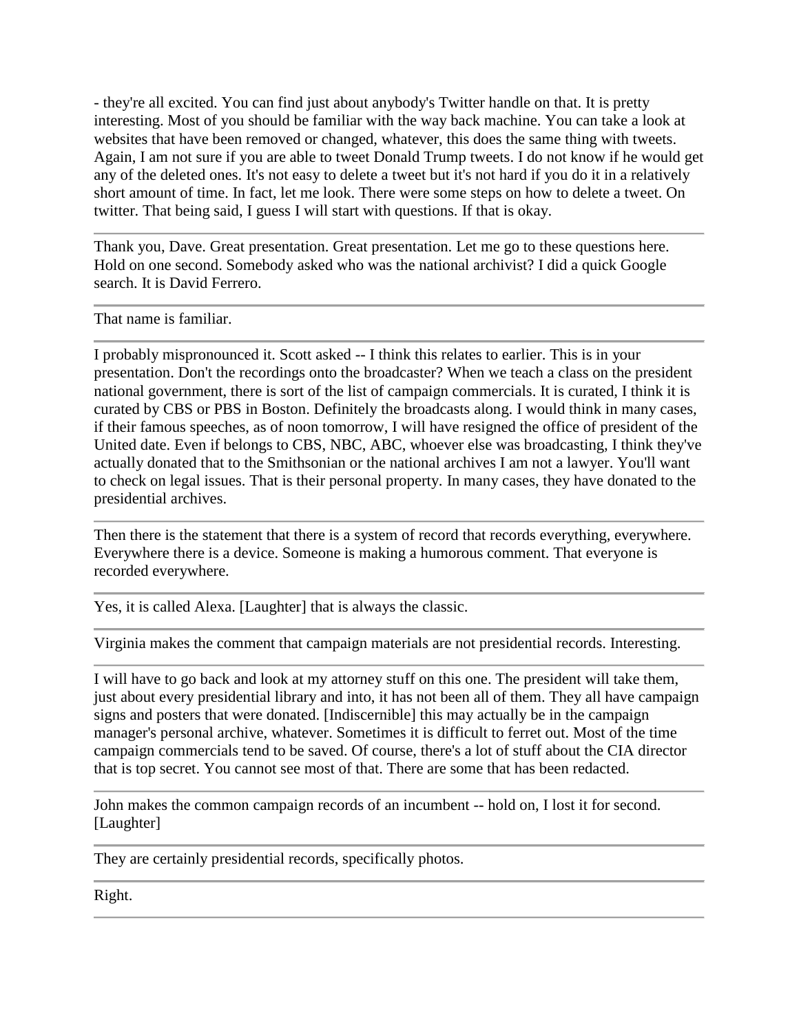- they're all excited. You can find just about anybody's Twitter handle on that. It is pretty interesting. Most of you should be familiar with the way back machine. You can take a look at websites that have been removed or changed, whatever, this does the same thing with tweets. Again, I am not sure if you are able to tweet Donald Trump tweets. I do not know if he would get any of the deleted ones. It's not easy to delete a tweet but it's not hard if you do it in a relatively short amount of time. In fact, let me look. There were some steps on how to delete a tweet. On twitter. That being said, I guess I will start with questions. If that is okay.

Thank you, Dave. Great presentation. Great presentation. Let me go to these questions here. Hold on one second. Somebody asked who was the national archivist? I did a quick Google search. It is David Ferrero.

That name is familiar.

I probably mispronounced it. Scott asked -- I think this relates to earlier. This is in your presentation. Don't the recordings onto the broadcaster? When we teach a class on the president national government, there is sort of the list of campaign commercials. It is curated, I think it is curated by CBS or PBS in Boston. Definitely the broadcasts along. I would think in many cases, if their famous speeches, as of noon tomorrow, I will have resigned the office of president of the United date. Even if belongs to CBS, NBC, ABC, whoever else was broadcasting, I think they've actually donated that to the Smithsonian or the national archives I am not a lawyer. You'll want to check on legal issues. That is their personal property. In many cases, they have donated to the presidential archives.

Then there is the statement that there is a system of record that records everything, everywhere. Everywhere there is a device. Someone is making a humorous comment. That everyone is recorded everywhere.

Yes, it is called Alexa. [Laughter] that is always the classic.

Virginia makes the comment that campaign materials are not presidential records. Interesting.

I will have to go back and look at my attorney stuff on this one. The president will take them, just about every presidential library and into, it has not been all of them. They all have campaign signs and posters that were donated. [Indiscernible] this may actually be in the campaign manager's personal archive, whatever. Sometimes it is difficult to ferret out. Most of the time campaign commercials tend to be saved. Of course, there's a lot of stuff about the CIA director that is top secret. You cannot see most of that. There are some that has been redacted.

John makes the common campaign records of an incumbent -- hold on, I lost it for second. [Laughter]

They are certainly presidential records, specifically photos.

Right.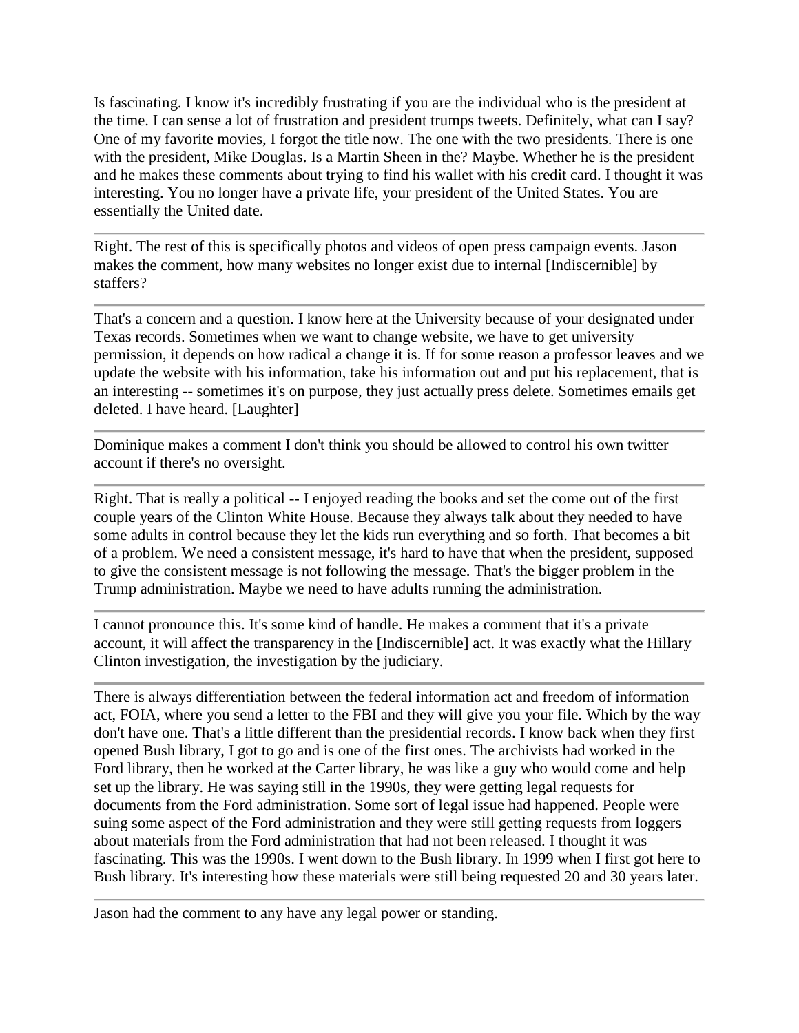Is fascinating. I know it's incredibly frustrating if you are the individual who is the president at the time. I can sense a lot of frustration and president trumps tweets. Definitely, what can I say? One of my favorite movies, I forgot the title now. The one with the two presidents. There is one with the president, Mike Douglas. Is a Martin Sheen in the? Maybe. Whether he is the president and he makes these comments about trying to find his wallet with his credit card. I thought it was interesting. You no longer have a private life, your president of the United States. You are essentially the United date.

Right. The rest of this is specifically photos and videos of open press campaign events. Jason makes the comment, how many websites no longer exist due to internal [Indiscernible] by staffers?

That's a concern and a question. I know here at the University because of your designated under Texas records. Sometimes when we want to change website, we have to get university permission, it depends on how radical a change it is. If for some reason a professor leaves and we update the website with his information, take his information out and put his replacement, that is an interesting -- sometimes it's on purpose, they just actually press delete. Sometimes emails get deleted. I have heard. [Laughter]

Dominique makes a comment I don't think you should be allowed to control his own twitter account if there's no oversight.

Right. That is really a political -- I enjoyed reading the books and set the come out of the first couple years of the Clinton White House. Because they always talk about they needed to have some adults in control because they let the kids run everything and so forth. That becomes a bit of a problem. We need a consistent message, it's hard to have that when the president, supposed to give the consistent message is not following the message. That's the bigger problem in the Trump administration. Maybe we need to have adults running the administration.

I cannot pronounce this. It's some kind of handle. He makes a comment that it's a private account, it will affect the transparency in the [Indiscernible] act. It was exactly what the Hillary Clinton investigation, the investigation by the judiciary.

There is always differentiation between the federal information act and freedom of information act, FOIA, where you send a letter to the FBI and they will give you your file. Which by the way don't have one. That's a little different than the presidential records. I know back when they first opened Bush library, I got to go and is one of the first ones. The archivists had worked in the Ford library, then he worked at the Carter library, he was like a guy who would come and help set up the library. He was saying still in the 1990s, they were getting legal requests for documents from the Ford administration. Some sort of legal issue had happened. People were suing some aspect of the Ford administration and they were still getting requests from loggers about materials from the Ford administration that had not been released. I thought it was fascinating. This was the 1990s. I went down to the Bush library. In 1999 when I first got here to Bush library. It's interesting how these materials were still being requested 20 and 30 years later.

Jason had the comment to any have any legal power or standing.